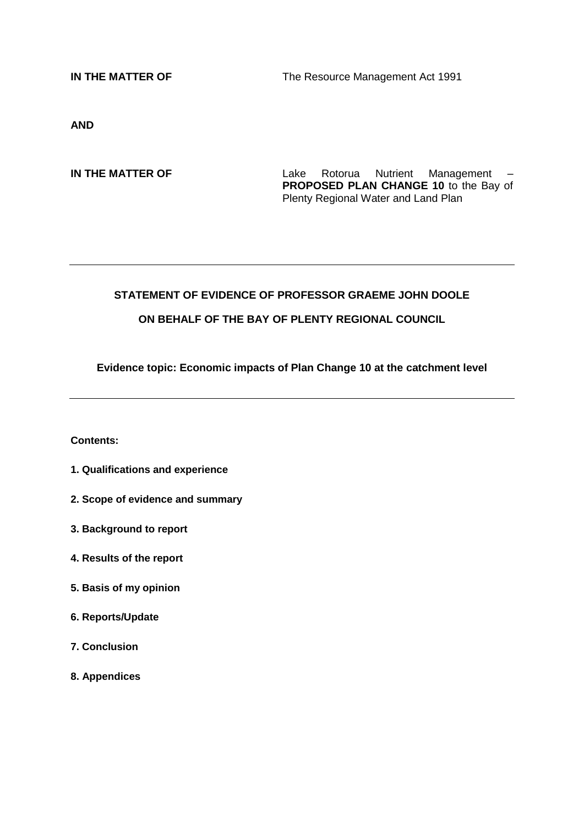**IN THE MATTER OF** The Resource Management Act 1991

**AND**

**IN THE MATTER OF** Lake Rotorua Nutrient Management – **PROPOSED PLAN CHANGE 10** to the Bay of Plenty Regional Water and Land Plan

# **STATEMENT OF EVIDENCE OF PROFESSOR GRAEME JOHN DOOLE ON BEHALF OF THE BAY OF PLENTY REGIONAL COUNCIL**

**Evidence topic: Economic impacts of Plan Change 10 at the catchment level**

#### **Contents:**

- **1. Qualifications and experience**
- **2. Scope of evidence and summary**
- **3. Background to report**
- **4. Results of the report**
- **5. Basis of my opinion**
- **6. Reports/Update**
- **7. Conclusion**
- **8. Appendices**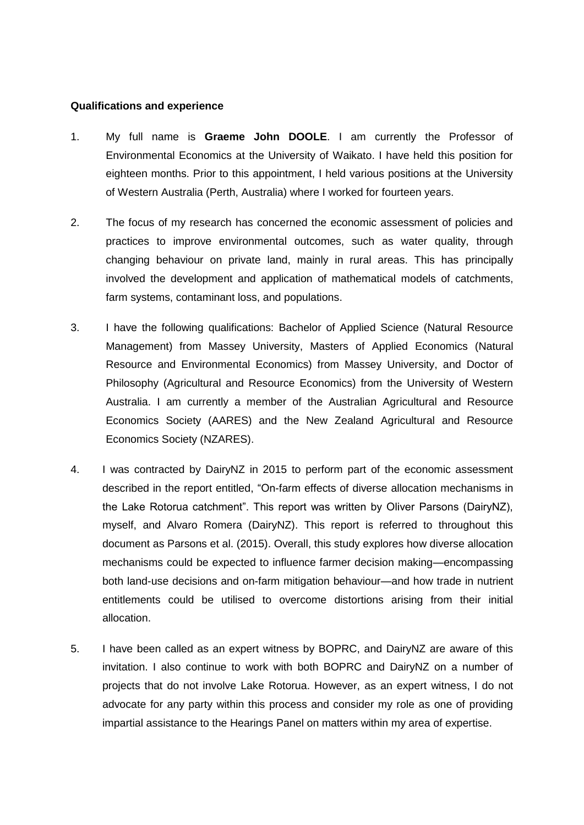# **Qualifications and experience**

- 1. My full name is **Graeme John DOOLE**. I am currently the Professor of Environmental Economics at the University of Waikato. I have held this position for eighteen months. Prior to this appointment, I held various positions at the University of Western Australia (Perth, Australia) where I worked for fourteen years.
- 2. The focus of my research has concerned the economic assessment of policies and practices to improve environmental outcomes, such as water quality, through changing behaviour on private land, mainly in rural areas. This has principally involved the development and application of mathematical models of catchments, farm systems, contaminant loss, and populations.
- 3. I have the following qualifications: Bachelor of Applied Science (Natural Resource Management) from Massey University, Masters of Applied Economics (Natural Resource and Environmental Economics) from Massey University, and Doctor of Philosophy (Agricultural and Resource Economics) from the University of Western Australia. I am currently a member of the Australian Agricultural and Resource Economics Society (AARES) and the New Zealand Agricultural and Resource Economics Society (NZARES).
- 4. I was contracted by DairyNZ in 2015 to perform part of the economic assessment described in the report entitled, "On-farm effects of diverse allocation mechanisms in the Lake Rotorua catchment". This report was written by Oliver Parsons (DairyNZ), myself, and Alvaro Romera (DairyNZ). This report is referred to throughout this document as Parsons et al. (2015). Overall, this study explores how diverse allocation mechanisms could be expected to influence farmer decision making—encompassing both land-use decisions and on-farm mitigation behaviour—and how trade in nutrient entitlements could be utilised to overcome distortions arising from their initial allocation.
- 5. I have been called as an expert witness by BOPRC, and DairyNZ are aware of this invitation. I also continue to work with both BOPRC and DairyNZ on a number of projects that do not involve Lake Rotorua. However, as an expert witness, I do not advocate for any party within this process and consider my role as one of providing impartial assistance to the Hearings Panel on matters within my area of expertise.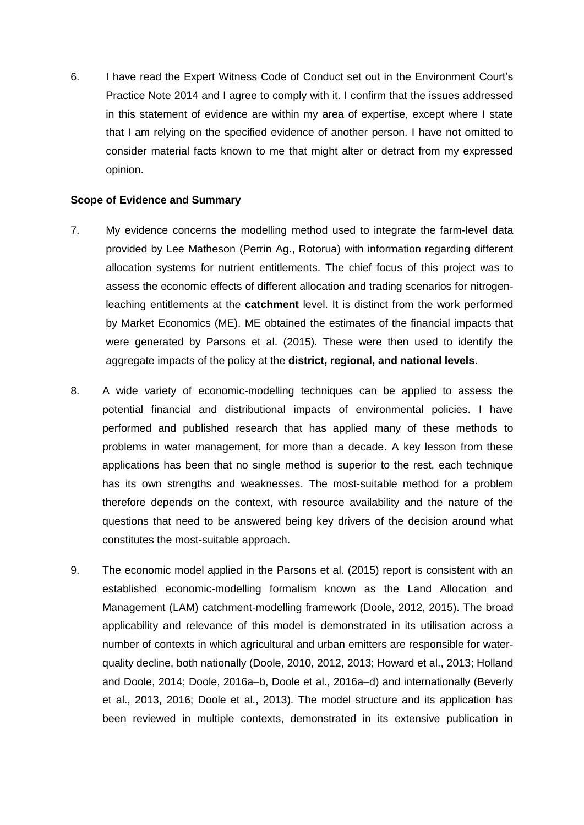6. I have read the Expert Witness Code of Conduct set out in the Environment Court's Practice Note 2014 and I agree to comply with it. I confirm that the issues addressed in this statement of evidence are within my area of expertise, except where I state that I am relying on the specified evidence of another person. I have not omitted to consider material facts known to me that might alter or detract from my expressed opinion.

## **Scope of Evidence and Summary**

- 7. My evidence concerns the modelling method used to integrate the farm-level data provided by Lee Matheson (Perrin Ag., Rotorua) with information regarding different allocation systems for nutrient entitlements. The chief focus of this project was to assess the economic effects of different allocation and trading scenarios for nitrogenleaching entitlements at the **catchment** level. It is distinct from the work performed by Market Economics (ME). ME obtained the estimates of the financial impacts that were generated by Parsons et al. (2015). These were then used to identify the aggregate impacts of the policy at the **district, regional, and national levels**.
- 8. A wide variety of economic-modelling techniques can be applied to assess the potential financial and distributional impacts of environmental policies. I have performed and published research that has applied many of these methods to problems in water management, for more than a decade. A key lesson from these applications has been that no single method is superior to the rest, each technique has its own strengths and weaknesses. The most-suitable method for a problem therefore depends on the context, with resource availability and the nature of the questions that need to be answered being key drivers of the decision around what constitutes the most-suitable approach.
- 9. The economic model applied in the Parsons et al. (2015) report is consistent with an established economic-modelling formalism known as the Land Allocation and Management (LAM) catchment-modelling framework (Doole, 2012, 2015). The broad applicability and relevance of this model is demonstrated in its utilisation across a number of contexts in which agricultural and urban emitters are responsible for waterquality decline, both nationally (Doole, 2010, 2012, 2013; Howard et al., 2013; Holland and Doole, 2014; Doole, 2016a–b, Doole et al., 2016a–d) and internationally (Beverly et al., 2013, 2016; Doole et al., 2013). The model structure and its application has been reviewed in multiple contexts, demonstrated in its extensive publication in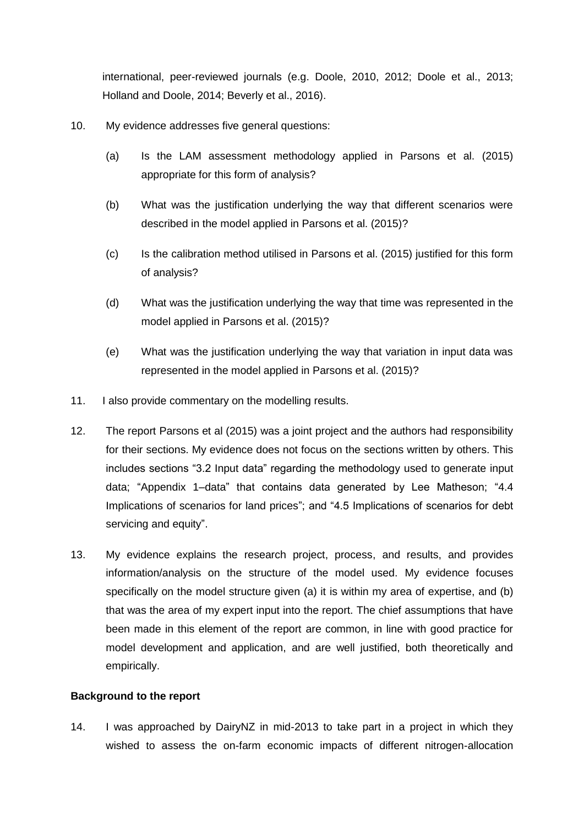international, peer-reviewed journals (e.g. Doole, 2010, 2012; Doole et al., 2013; Holland and Doole, 2014; Beverly et al., 2016).

- 10. My evidence addresses five general questions:
	- (a) Is the LAM assessment methodology applied in Parsons et al. (2015) appropriate for this form of analysis?
	- (b) What was the justification underlying the way that different scenarios were described in the model applied in Parsons et al. (2015)?
	- (c) Is the calibration method utilised in Parsons et al. (2015) justified for this form of analysis?
	- (d) What was the justification underlying the way that time was represented in the model applied in Parsons et al. (2015)?
	- (e) What was the justification underlying the way that variation in input data was represented in the model applied in Parsons et al. (2015)?
- 11. I also provide commentary on the modelling results.
- 12. The report Parsons et al (2015) was a joint project and the authors had responsibility for their sections. My evidence does not focus on the sections written by others. This includes sections "3.2 Input data" regarding the methodology used to generate input data; "Appendix 1–data" that contains data generated by Lee Matheson; "4.4 Implications of scenarios for land prices"; and "4.5 Implications of scenarios for debt servicing and equity".
- 13. My evidence explains the research project, process, and results, and provides information/analysis on the structure of the model used. My evidence focuses specifically on the model structure given (a) it is within my area of expertise, and (b) that was the area of my expert input into the report. The chief assumptions that have been made in this element of the report are common, in line with good practice for model development and application, and are well justified, both theoretically and empirically.

# **Background to the report**

14. I was approached by DairyNZ in mid-2013 to take part in a project in which they wished to assess the on-farm economic impacts of different nitrogen-allocation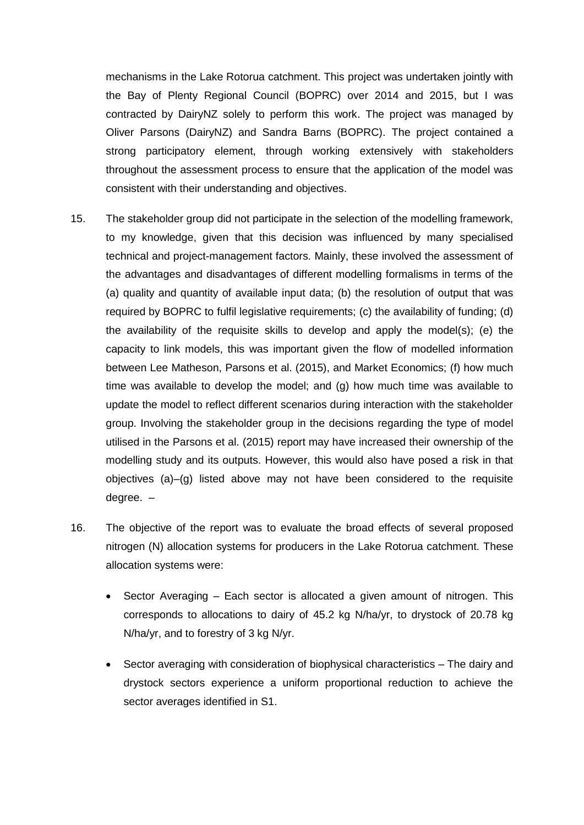mechanisms in the Lake Rotorua catchment. This project was undertaken jointly with the Bay of Plenty Regional Council (BOPRC) over 2014 and 2015, but I was contracted by DairyNZ solely to perform this work. The project was managed by Oliver Parsons (DairyNZ) and Sandra Barns (BOPRC). The project contained a strong participatory element, through working extensively with stakeholders throughout the assessment process to ensure that the application of the model was consistent with their understanding and objectives.

- 15. The stakeholder group did not participate in the selection of the modelling framework, to my knowledge, given that this decision was influenced by many specialised technical and project-management factors. Mainly, these involved the assessment of the advantages and disadvantages of different modelling formalisms in terms of the (a) quality and quantity of available input data; (b) the resolution of output that was required by BOPRC to fulfil legislative requirements; (c) the availability of funding; (d) the availability of the requisite skills to develop and apply the model(s); (e) the capacity to link models, this was important given the flow of modelled information between Lee Matheson, Parsons et al. (2015), and Market Economics; (f) how much time was available to develop the model; and (g) how much time was available to update the model to reflect different scenarios during interaction with the stakeholder group. Involving the stakeholder group in the decisions regarding the type of model utilised in the Parsons et al. (2015) report may have increased their ownership of the modelling study and its outputs. However, this would also have posed a risk in that objectives (a)–(g) listed above may not have been considered to the requisite degree. –
- 16. The objective of the report was to evaluate the broad effects of several proposed nitrogen (N) allocation systems for producers in the Lake Rotorua catchment. These allocation systems were:
	- Sector Averaging Each sector is allocated a given amount of nitrogen. This corresponds to allocations to dairy of 45.2 kg N/ha/yr, to drystock of 20.78 kg N/ha/yr, and to forestry of 3 kg N/yr.
	- Sector averaging with consideration of biophysical characteristics The dairy and drystock sectors experience a uniform proportional reduction to achieve the sector averages identified in S1.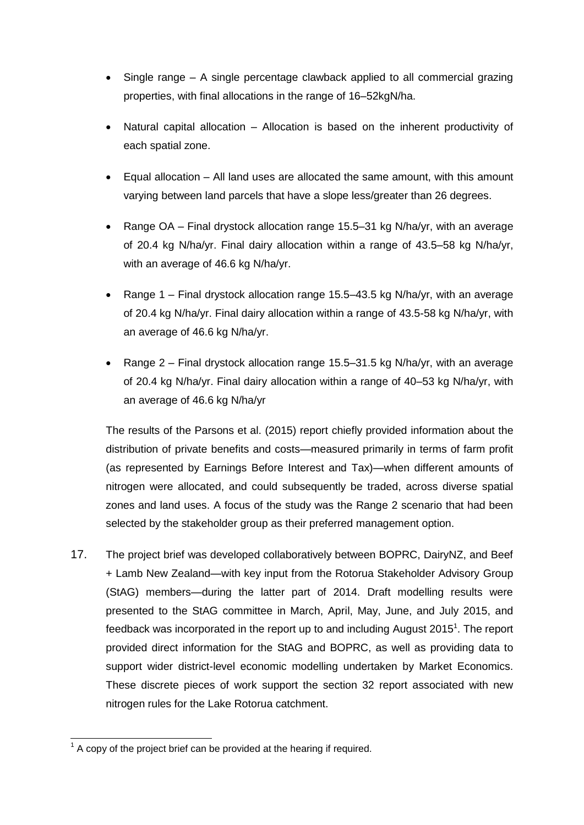- Single range A single percentage clawback applied to all commercial grazing properties, with final allocations in the range of 16–52kgN/ha.
- Natural capital allocation Allocation is based on the inherent productivity of each spatial zone.
- Equal allocation All land uses are allocated the same amount, with this amount varying between land parcels that have a slope less/greater than 26 degrees.
- Range OA Final drystock allocation range 15.5–31 kg N/ha/yr, with an average of 20.4 kg N/ha/yr. Final dairy allocation within a range of 43.5–58 kg N/ha/yr, with an average of 46.6 kg N/ha/yr.
- Range 1 Final drystock allocation range 15.5–43.5 kg N/ha/yr, with an average of 20.4 kg N/ha/yr. Final dairy allocation within a range of 43.5-58 kg N/ha/yr, with an average of 46.6 kg N/ha/yr.
- Range 2 Final drystock allocation range 15.5–31.5 kg N/ha/yr, with an average of 20.4 kg N/ha/yr. Final dairy allocation within a range of 40–53 kg N/ha/yr, with an average of 46.6 kg N/ha/yr

The results of the Parsons et al. (2015) report chiefly provided information about the distribution of private benefits and costs—measured primarily in terms of farm profit (as represented by Earnings Before Interest and Tax)—when different amounts of nitrogen were allocated, and could subsequently be traded, across diverse spatial zones and land uses. A focus of the study was the Range 2 scenario that had been selected by the stakeholder group as their preferred management option.

17. The project brief was developed collaboratively between BOPRC, DairyNZ, and Beef + Lamb New Zealand—with key input from the Rotorua Stakeholder Advisory Group (StAG) members—during the latter part of 2014. Draft modelling results were presented to the StAG committee in March, April, May, June, and July 2015, and feedback was incorporated in the report up to and including August 2015<sup>1</sup>. The report provided direct information for the StAG and BOPRC, as well as providing data to support wider district-level economic modelling undertaken by Market Economics. These discrete pieces of work support the section 32 report associated with new nitrogen rules for the Lake Rotorua catchment.

<sup>-</sup> $1$  A copy of the project brief can be provided at the hearing if required.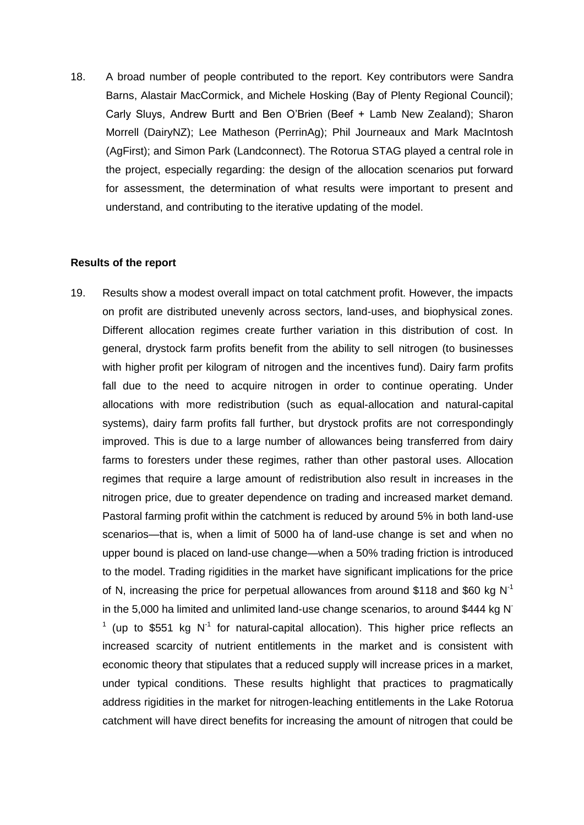18. A broad number of people contributed to the report. Key contributors were Sandra Barns, Alastair MacCormick, and Michele Hosking (Bay of Plenty Regional Council); Carly Sluys, Andrew Burtt and Ben O'Brien (Beef + Lamb New Zealand); Sharon Morrell (DairyNZ); Lee Matheson (PerrinAg); Phil Journeaux and Mark MacIntosh (AgFirst); and Simon Park (Landconnect). The Rotorua STAG played a central role in the project, especially regarding: the design of the allocation scenarios put forward for assessment, the determination of what results were important to present and understand, and contributing to the iterative updating of the model.

## **Results of the report**

19. Results show a modest overall impact on total catchment profit. However, the impacts on profit are distributed unevenly across sectors, land-uses, and biophysical zones. Different allocation regimes create further variation in this distribution of cost. In general, drystock farm profits benefit from the ability to sell nitrogen (to businesses with higher profit per kilogram of nitrogen and the incentives fund). Dairy farm profits fall due to the need to acquire nitrogen in order to continue operating. Under allocations with more redistribution (such as equal-allocation and natural-capital systems), dairy farm profits fall further, but drystock profits are not correspondingly improved. This is due to a large number of allowances being transferred from dairy farms to foresters under these regimes, rather than other pastoral uses. Allocation regimes that require a large amount of redistribution also result in increases in the nitrogen price, due to greater dependence on trading and increased market demand. Pastoral farming profit within the catchment is reduced by around 5% in both land-use scenarios—that is, when a limit of 5000 ha of land-use change is set and when no upper bound is placed on land-use change—when a 50% trading friction is introduced to the model. Trading rigidities in the market have significant implications for the price of N, increasing the price for perpetual allowances from around \$118 and \$60 kg  $N^{-1}$ in the 5,000 ha limited and unlimited land-use change scenarios, to around \$444 kg N- $1$  (up to \$551 kg N<sup>-1</sup> for natural-capital allocation). This higher price reflects an increased scarcity of nutrient entitlements in the market and is consistent with economic theory that stipulates that a reduced supply will increase prices in a market, under typical conditions. These results highlight that practices to pragmatically address rigidities in the market for nitrogen-leaching entitlements in the Lake Rotorua catchment will have direct benefits for increasing the amount of nitrogen that could be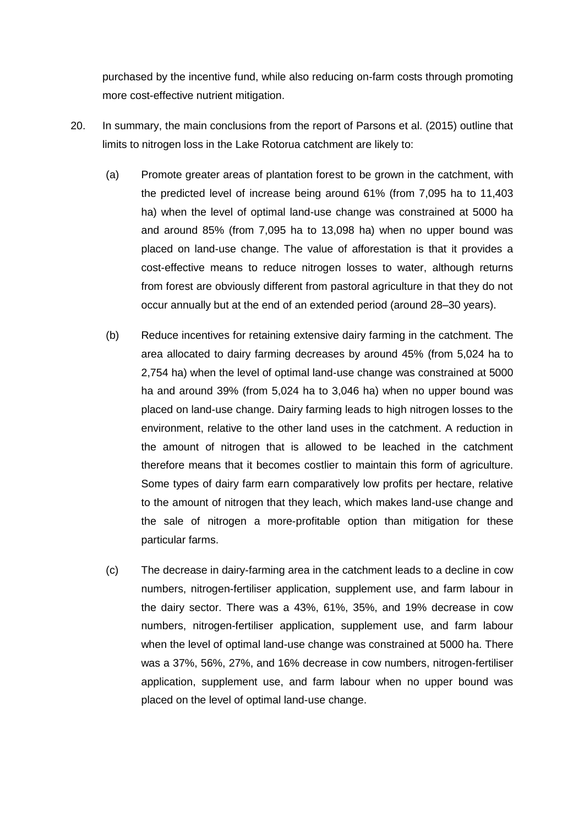purchased by the incentive fund, while also reducing on-farm costs through promoting more cost-effective nutrient mitigation.

- 20. In summary, the main conclusions from the report of Parsons et al. (2015) outline that limits to nitrogen loss in the Lake Rotorua catchment are likely to:
	- (a) Promote greater areas of plantation forest to be grown in the catchment, with the predicted level of increase being around 61% (from 7,095 ha to 11,403 ha) when the level of optimal land-use change was constrained at 5000 ha and around 85% (from 7,095 ha to 13,098 ha) when no upper bound was placed on land-use change. The value of afforestation is that it provides a cost-effective means to reduce nitrogen losses to water, although returns from forest are obviously different from pastoral agriculture in that they do not occur annually but at the end of an extended period (around 28–30 years).
	- (b) Reduce incentives for retaining extensive dairy farming in the catchment. The area allocated to dairy farming decreases by around 45% (from 5,024 ha to 2,754 ha) when the level of optimal land-use change was constrained at 5000 ha and around 39% (from 5,024 ha to 3,046 ha) when no upper bound was placed on land-use change. Dairy farming leads to high nitrogen losses to the environment, relative to the other land uses in the catchment. A reduction in the amount of nitrogen that is allowed to be leached in the catchment therefore means that it becomes costlier to maintain this form of agriculture. Some types of dairy farm earn comparatively low profits per hectare, relative to the amount of nitrogen that they leach, which makes land-use change and the sale of nitrogen a more-profitable option than mitigation for these particular farms.
	- (c) The decrease in dairy-farming area in the catchment leads to a decline in cow numbers, nitrogen-fertiliser application, supplement use, and farm labour in the dairy sector. There was a 43%, 61%, 35%, and 19% decrease in cow numbers, nitrogen-fertiliser application, supplement use, and farm labour when the level of optimal land-use change was constrained at 5000 ha. There was a 37%, 56%, 27%, and 16% decrease in cow numbers, nitrogen-fertiliser application, supplement use, and farm labour when no upper bound was placed on the level of optimal land-use change.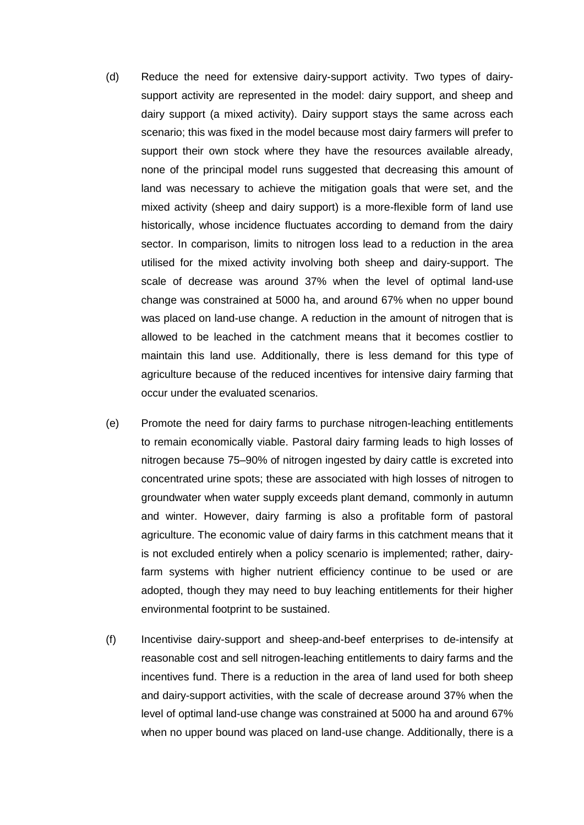- (d) Reduce the need for extensive dairy-support activity. Two types of dairysupport activity are represented in the model: dairy support, and sheep and dairy support (a mixed activity). Dairy support stays the same across each scenario; this was fixed in the model because most dairy farmers will prefer to support their own stock where they have the resources available already, none of the principal model runs suggested that decreasing this amount of land was necessary to achieve the mitigation goals that were set, and the mixed activity (sheep and dairy support) is a more-flexible form of land use historically, whose incidence fluctuates according to demand from the dairy sector. In comparison, limits to nitrogen loss lead to a reduction in the area utilised for the mixed activity involving both sheep and dairy-support. The scale of decrease was around 37% when the level of optimal land-use change was constrained at 5000 ha, and around 67% when no upper bound was placed on land-use change. A reduction in the amount of nitrogen that is allowed to be leached in the catchment means that it becomes costlier to maintain this land use. Additionally, there is less demand for this type of agriculture because of the reduced incentives for intensive dairy farming that occur under the evaluated scenarios.
- (e) Promote the need for dairy farms to purchase nitrogen-leaching entitlements to remain economically viable. Pastoral dairy farming leads to high losses of nitrogen because 75–90% of nitrogen ingested by dairy cattle is excreted into concentrated urine spots; these are associated with high losses of nitrogen to groundwater when water supply exceeds plant demand, commonly in autumn and winter. However, dairy farming is also a profitable form of pastoral agriculture. The economic value of dairy farms in this catchment means that it is not excluded entirely when a policy scenario is implemented; rather, dairyfarm systems with higher nutrient efficiency continue to be used or are adopted, though they may need to buy leaching entitlements for their higher environmental footprint to be sustained.
- (f) Incentivise dairy-support and sheep-and-beef enterprises to de-intensify at reasonable cost and sell nitrogen-leaching entitlements to dairy farms and the incentives fund. There is a reduction in the area of land used for both sheep and dairy-support activities, with the scale of decrease around 37% when the level of optimal land-use change was constrained at 5000 ha and around 67% when no upper bound was placed on land-use change. Additionally, there is a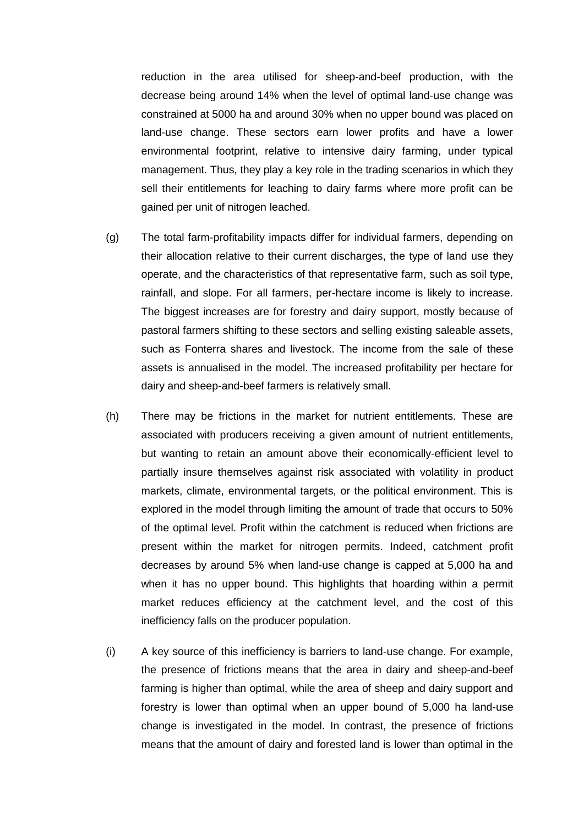reduction in the area utilised for sheep-and-beef production, with the decrease being around 14% when the level of optimal land-use change was constrained at 5000 ha and around 30% when no upper bound was placed on land-use change. These sectors earn lower profits and have a lower environmental footprint, relative to intensive dairy farming, under typical management. Thus, they play a key role in the trading scenarios in which they sell their entitlements for leaching to dairy farms where more profit can be gained per unit of nitrogen leached.

- (g) The total farm-profitability impacts differ for individual farmers, depending on their allocation relative to their current discharges, the type of land use they operate, and the characteristics of that representative farm, such as soil type, rainfall, and slope. For all farmers, per-hectare income is likely to increase. The biggest increases are for forestry and dairy support, mostly because of pastoral farmers shifting to these sectors and selling existing saleable assets, such as Fonterra shares and livestock. The income from the sale of these assets is annualised in the model. The increased profitability per hectare for dairy and sheep-and-beef farmers is relatively small.
- (h) There may be frictions in the market for nutrient entitlements. These are associated with producers receiving a given amount of nutrient entitlements, but wanting to retain an amount above their economically-efficient level to partially insure themselves against risk associated with volatility in product markets, climate, environmental targets, or the political environment. This is explored in the model through limiting the amount of trade that occurs to 50% of the optimal level. Profit within the catchment is reduced when frictions are present within the market for nitrogen permits. Indeed, catchment profit decreases by around 5% when land-use change is capped at 5,000 ha and when it has no upper bound. This highlights that hoarding within a permit market reduces efficiency at the catchment level, and the cost of this inefficiency falls on the producer population.
- (i) A key source of this inefficiency is barriers to land-use change. For example, the presence of frictions means that the area in dairy and sheep-and-beef farming is higher than optimal, while the area of sheep and dairy support and forestry is lower than optimal when an upper bound of 5,000 ha land-use change is investigated in the model. In contrast, the presence of frictions means that the amount of dairy and forested land is lower than optimal in the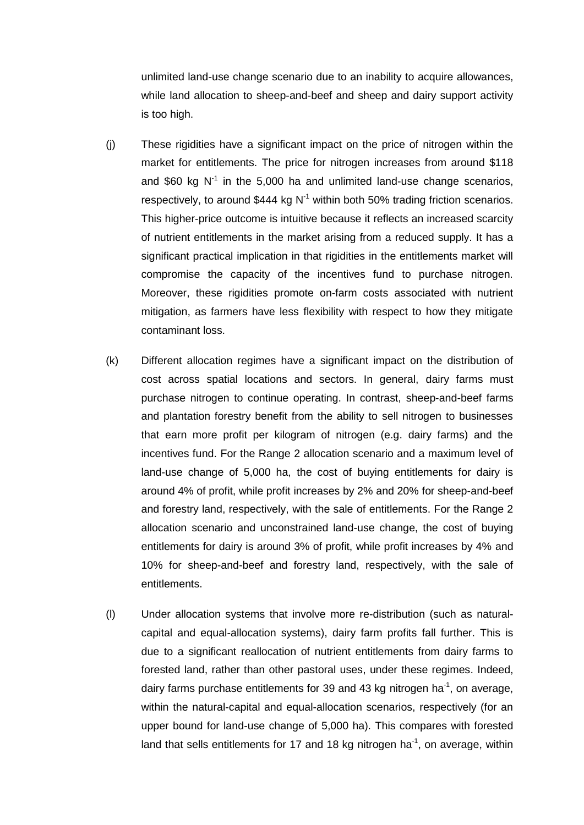unlimited land-use change scenario due to an inability to acquire allowances, while land allocation to sheep-and-beef and sheep and dairy support activity is too high.

- (j) These rigidities have a significant impact on the price of nitrogen within the market for entitlements. The price for nitrogen increases from around \$118 and \$60 kg  $N^{-1}$  in the 5,000 ha and unlimited land-use change scenarios, respectively, to around \$444 kg  $N^{-1}$  within both 50% trading friction scenarios. This higher-price outcome is intuitive because it reflects an increased scarcity of nutrient entitlements in the market arising from a reduced supply. It has a significant practical implication in that rigidities in the entitlements market will compromise the capacity of the incentives fund to purchase nitrogen. Moreover, these rigidities promote on-farm costs associated with nutrient mitigation, as farmers have less flexibility with respect to how they mitigate contaminant loss.
- (k) Different allocation regimes have a significant impact on the distribution of cost across spatial locations and sectors. In general, dairy farms must purchase nitrogen to continue operating. In contrast, sheep-and-beef farms and plantation forestry benefit from the ability to sell nitrogen to businesses that earn more profit per kilogram of nitrogen (e.g. dairy farms) and the incentives fund. For the Range 2 allocation scenario and a maximum level of land-use change of 5,000 ha, the cost of buying entitlements for dairy is around 4% of profit, while profit increases by 2% and 20% for sheep-and-beef and forestry land, respectively, with the sale of entitlements. For the Range 2 allocation scenario and unconstrained land-use change, the cost of buying entitlements for dairy is around 3% of profit, while profit increases by 4% and 10% for sheep-and-beef and forestry land, respectively, with the sale of entitlements.
- (l) Under allocation systems that involve more re-distribution (such as naturalcapital and equal-allocation systems), dairy farm profits fall further. This is due to a significant reallocation of nutrient entitlements from dairy farms to forested land, rather than other pastoral uses, under these regimes. Indeed, dairy farms purchase entitlements for 39 and 43 kg nitrogen ha<sup>-1</sup>, on average, within the natural-capital and equal-allocation scenarios, respectively (for an upper bound for land-use change of 5,000 ha). This compares with forested land that sells entitlements for 17 and 18 kg nitrogen ha<sup>-1</sup>, on average, within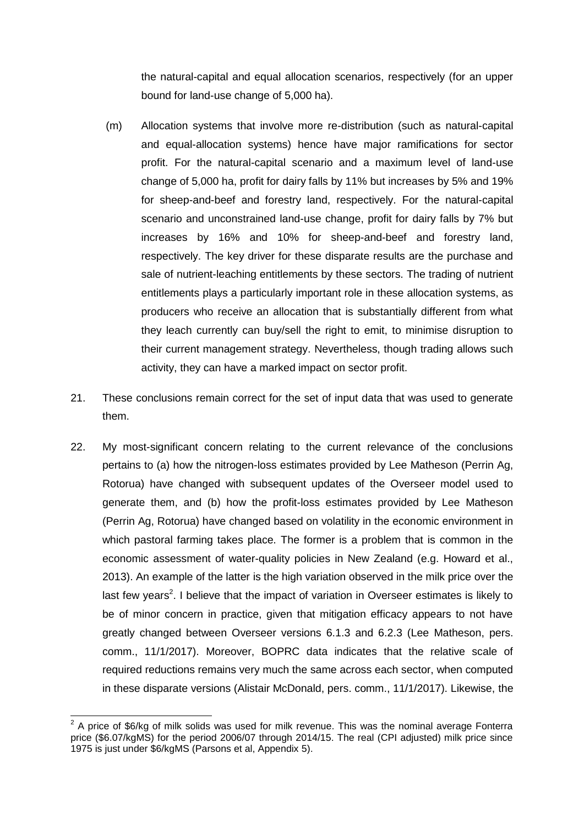the natural-capital and equal allocation scenarios, respectively (for an upper bound for land-use change of 5,000 ha).

- (m) Allocation systems that involve more re-distribution (such as natural-capital and equal-allocation systems) hence have major ramifications for sector profit. For the natural-capital scenario and a maximum level of land-use change of 5,000 ha, profit for dairy falls by 11% but increases by 5% and 19% for sheep-and-beef and forestry land, respectively. For the natural-capital scenario and unconstrained land-use change, profit for dairy falls by 7% but increases by 16% and 10% for sheep-and-beef and forestry land, respectively. The key driver for these disparate results are the purchase and sale of nutrient-leaching entitlements by these sectors. The trading of nutrient entitlements plays a particularly important role in these allocation systems, as producers who receive an allocation that is substantially different from what they leach currently can buy/sell the right to emit, to minimise disruption to their current management strategy. Nevertheless, though trading allows such activity, they can have a marked impact on sector profit.
- 21. These conclusions remain correct for the set of input data that was used to generate them.
- 22. My most-significant concern relating to the current relevance of the conclusions pertains to (a) how the nitrogen-loss estimates provided by Lee Matheson (Perrin Ag, Rotorua) have changed with subsequent updates of the Overseer model used to generate them, and (b) how the profit-loss estimates provided by Lee Matheson (Perrin Ag, Rotorua) have changed based on volatility in the economic environment in which pastoral farming takes place. The former is a problem that is common in the economic assessment of water-quality policies in New Zealand (e.g. Howard et al., 2013). An example of the latter is the high variation observed in the milk price over the last few years<sup>2</sup>. I believe that the impact of variation in Overseer estimates is likely to be of minor concern in practice, given that mitigation efficacy appears to not have greatly changed between Overseer versions 6.1.3 and 6.2.3 (Lee Matheson, pers. comm., 11/1/2017). Moreover, BOPRC data indicates that the relative scale of required reductions remains very much the same across each sector, when computed in these disparate versions (Alistair McDonald, pers. comm., 11/1/2017). Likewise, the

**ENEVAL 2**<br>A price of \$6/kg of milk solids was used for milk revenue. This was the nominal average Fonterra price (\$6.07/kgMS) for the period 2006/07 through 2014/15. The real (CPI adjusted) milk price since 1975 is just under \$6/kgMS (Parsons et al, Appendix 5).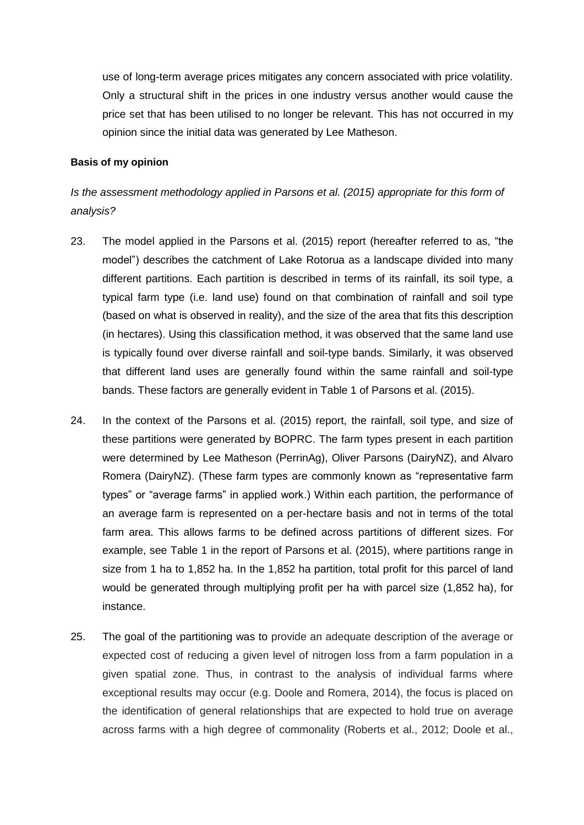use of long-term average prices mitigates any concern associated with price volatility. Only a structural shift in the prices in one industry versus another would cause the price set that has been utilised to no longer be relevant. This has not occurred in my opinion since the initial data was generated by Lee Matheson.

#### **Basis of my opinion**

*Is the assessment methodology applied in Parsons et al. (2015) appropriate for this form of analysis?*

- 23. The model applied in the Parsons et al. (2015) report (hereafter referred to as, "the model") describes the catchment of Lake Rotorua as a landscape divided into many different partitions. Each partition is described in terms of its rainfall, its soil type, a typical farm type (i.e. land use) found on that combination of rainfall and soil type (based on what is observed in reality), and the size of the area that fits this description (in hectares). Using this classification method, it was observed that the same land use is typically found over diverse rainfall and soil-type bands. Similarly, it was observed that different land uses are generally found within the same rainfall and soil-type bands. These factors are generally evident in Table 1 of Parsons et al. (2015).
- 24. In the context of the Parsons et al. (2015) report, the rainfall, soil type, and size of these partitions were generated by BOPRC. The farm types present in each partition were determined by Lee Matheson (PerrinAg), Oliver Parsons (DairyNZ), and Alvaro Romera (DairyNZ). (These farm types are commonly known as "representative farm types" or "average farms" in applied work.) Within each partition, the performance of an average farm is represented on a per-hectare basis and not in terms of the total farm area. This allows farms to be defined across partitions of different sizes. For example, see Table 1 in the report of Parsons et al. (2015), where partitions range in size from 1 ha to 1,852 ha. In the 1,852 ha partition, total profit for this parcel of land would be generated through multiplying profit per ha with parcel size (1,852 ha), for instance.
- 25. The goal of the partitioning was to provide an adequate description of the average or expected cost of reducing a given level of nitrogen loss from a farm population in a given spatial zone. Thus, in contrast to the analysis of individual farms where exceptional results may occur (e.g. Doole and Romera, 2014), the focus is placed on the identification of general relationships that are expected to hold true on average across farms with a high degree of commonality (Roberts et al., 2012; Doole et al.,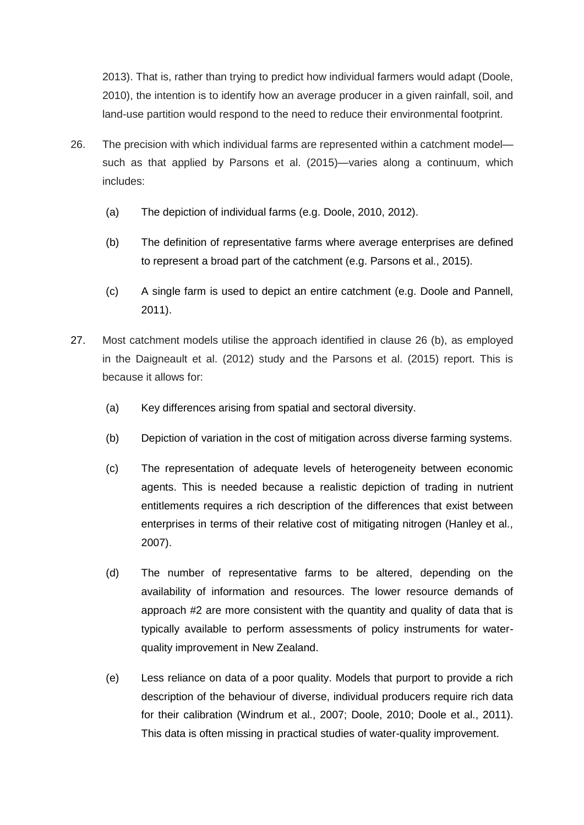2013). That is, rather than trying to predict how individual farmers would adapt (Doole, 2010), the intention is to identify how an average producer in a given rainfall, soil, and land-use partition would respond to the need to reduce their environmental footprint.

- 26. The precision with which individual farms are represented within a catchment model such as that applied by Parsons et al. (2015)—varies along a continuum, which includes:
	- (a) The depiction of individual farms (e.g. Doole, 2010, 2012).
	- (b) The definition of representative farms where average enterprises are defined to represent a broad part of the catchment (e.g. Parsons et al., 2015).
	- (c) A single farm is used to depict an entire catchment (e.g. Doole and Pannell, 2011).
- 27. Most catchment models utilise the approach identified in clause 26 (b), as employed in the Daigneault et al. (2012) study and the Parsons et al. (2015) report. This is because it allows for:
	- (a) Key differences arising from spatial and sectoral diversity.
	- (b) Depiction of variation in the cost of mitigation across diverse farming systems.
	- (c) The representation of adequate levels of heterogeneity between economic agents. This is needed because a realistic depiction of trading in nutrient entitlements requires a rich description of the differences that exist between enterprises in terms of their relative cost of mitigating nitrogen (Hanley et al., 2007).
	- (d) The number of representative farms to be altered, depending on the availability of information and resources. The lower resource demands of approach #2 are more consistent with the quantity and quality of data that is typically available to perform assessments of policy instruments for waterquality improvement in New Zealand.
	- (e) Less reliance on data of a poor quality. Models that purport to provide a rich description of the behaviour of diverse, individual producers require rich data for their calibration (Windrum et al., 2007; Doole, 2010; Doole et al., 2011). This data is often missing in practical studies of water-quality improvement.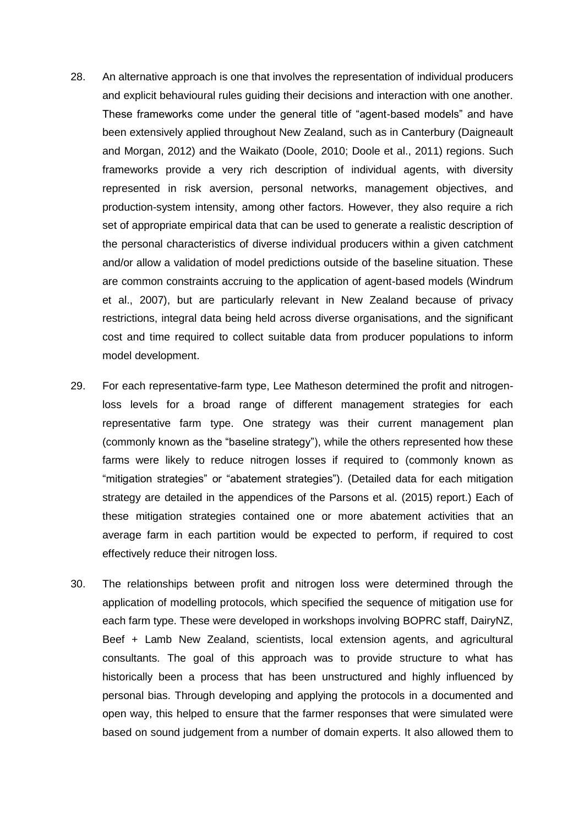- 28. An alternative approach is one that involves the representation of individual producers and explicit behavioural rules guiding their decisions and interaction with one another. These frameworks come under the general title of "agent-based models" and have been extensively applied throughout New Zealand, such as in Canterbury (Daigneault and Morgan, 2012) and the Waikato (Doole, 2010; Doole et al., 2011) regions. Such frameworks provide a very rich description of individual agents, with diversity represented in risk aversion, personal networks, management objectives, and production-system intensity, among other factors. However, they also require a rich set of appropriate empirical data that can be used to generate a realistic description of the personal characteristics of diverse individual producers within a given catchment and/or allow a validation of model predictions outside of the baseline situation. These are common constraints accruing to the application of agent-based models (Windrum et al., 2007), but are particularly relevant in New Zealand because of privacy restrictions, integral data being held across diverse organisations, and the significant cost and time required to collect suitable data from producer populations to inform model development.
- 29. For each representative-farm type, Lee Matheson determined the profit and nitrogenloss levels for a broad range of different management strategies for each representative farm type. One strategy was their current management plan (commonly known as the "baseline strategy"), while the others represented how these farms were likely to reduce nitrogen losses if required to (commonly known as "mitigation strategies" or "abatement strategies"). (Detailed data for each mitigation strategy are detailed in the appendices of the Parsons et al. (2015) report.) Each of these mitigation strategies contained one or more abatement activities that an average farm in each partition would be expected to perform, if required to cost effectively reduce their nitrogen loss.
- 30. The relationships between profit and nitrogen loss were determined through the application of modelling protocols, which specified the sequence of mitigation use for each farm type. These were developed in workshops involving BOPRC staff, DairyNZ, Beef + Lamb New Zealand, scientists, local extension agents, and agricultural consultants. The goal of this approach was to provide structure to what has historically been a process that has been unstructured and highly influenced by personal bias. Through developing and applying the protocols in a documented and open way, this helped to ensure that the farmer responses that were simulated were based on sound judgement from a number of domain experts. It also allowed them to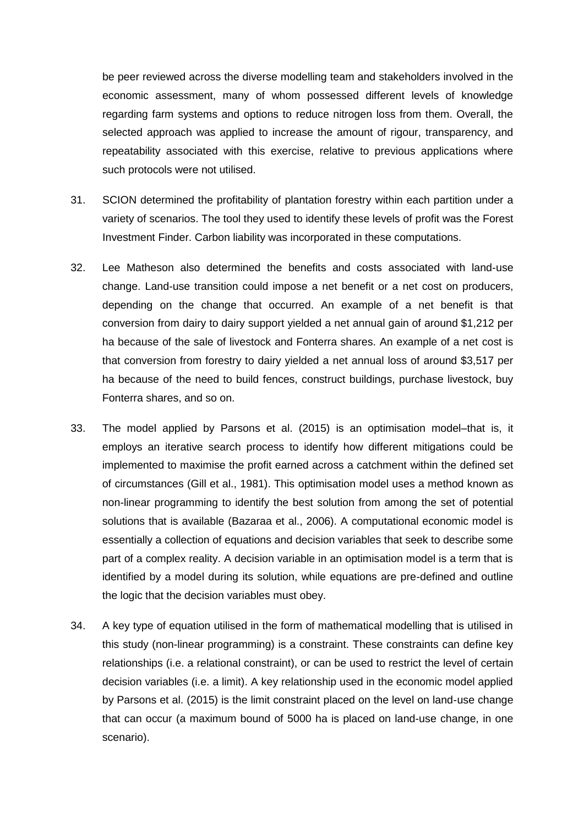be peer reviewed across the diverse modelling team and stakeholders involved in the economic assessment, many of whom possessed different levels of knowledge regarding farm systems and options to reduce nitrogen loss from them. Overall, the selected approach was applied to increase the amount of rigour, transparency, and repeatability associated with this exercise, relative to previous applications where such protocols were not utilised.

- 31. SCION determined the profitability of plantation forestry within each partition under a variety of scenarios. The tool they used to identify these levels of profit was the Forest Investment Finder. Carbon liability was incorporated in these computations.
- 32. Lee Matheson also determined the benefits and costs associated with land-use change. Land-use transition could impose a net benefit or a net cost on producers, depending on the change that occurred. An example of a net benefit is that conversion from dairy to dairy support yielded a net annual gain of around \$1,212 per ha because of the sale of livestock and Fonterra shares. An example of a net cost is that conversion from forestry to dairy yielded a net annual loss of around \$3,517 per ha because of the need to build fences, construct buildings, purchase livestock, buy Fonterra shares, and so on.
- 33. The model applied by Parsons et al. (2015) is an optimisation model–that is, it employs an iterative search process to identify how different mitigations could be implemented to maximise the profit earned across a catchment within the defined set of circumstances (Gill et al., 1981). This optimisation model uses a method known as non-linear programming to identify the best solution from among the set of potential solutions that is available (Bazaraa et al., 2006). A computational economic model is essentially a collection of equations and decision variables that seek to describe some part of a complex reality. A decision variable in an optimisation model is a term that is identified by a model during its solution, while equations are pre-defined and outline the logic that the decision variables must obey.
- 34. A key type of equation utilised in the form of mathematical modelling that is utilised in this study (non-linear programming) is a constraint. These constraints can define key relationships (i.e. a relational constraint), or can be used to restrict the level of certain decision variables (i.e. a limit). A key relationship used in the economic model applied by Parsons et al. (2015) is the limit constraint placed on the level on land-use change that can occur (a maximum bound of 5000 ha is placed on land-use change, in one scenario).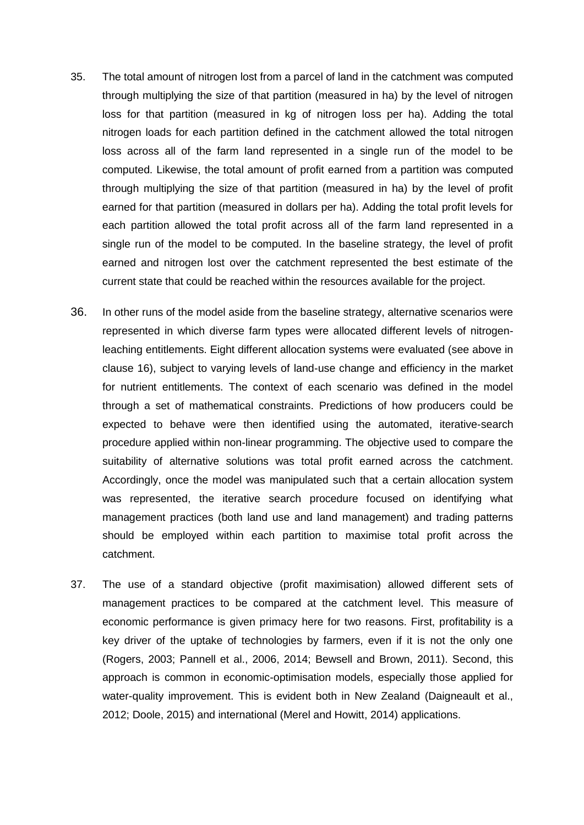- 35. The total amount of nitrogen lost from a parcel of land in the catchment was computed through multiplying the size of that partition (measured in ha) by the level of nitrogen loss for that partition (measured in kg of nitrogen loss per ha). Adding the total nitrogen loads for each partition defined in the catchment allowed the total nitrogen loss across all of the farm land represented in a single run of the model to be computed. Likewise, the total amount of profit earned from a partition was computed through multiplying the size of that partition (measured in ha) by the level of profit earned for that partition (measured in dollars per ha). Adding the total profit levels for each partition allowed the total profit across all of the farm land represented in a single run of the model to be computed. In the baseline strategy, the level of profit earned and nitrogen lost over the catchment represented the best estimate of the current state that could be reached within the resources available for the project.
- 36. In other runs of the model aside from the baseline strategy, alternative scenarios were represented in which diverse farm types were allocated different levels of nitrogenleaching entitlements. Eight different allocation systems were evaluated (see above in clause 16), subject to varying levels of land-use change and efficiency in the market for nutrient entitlements. The context of each scenario was defined in the model through a set of mathematical constraints. Predictions of how producers could be expected to behave were then identified using the automated, iterative-search procedure applied within non-linear programming. The objective used to compare the suitability of alternative solutions was total profit earned across the catchment. Accordingly, once the model was manipulated such that a certain allocation system was represented, the iterative search procedure focused on identifying what management practices (both land use and land management) and trading patterns should be employed within each partition to maximise total profit across the catchment.
- 37. The use of a standard objective (profit maximisation) allowed different sets of management practices to be compared at the catchment level. This measure of economic performance is given primacy here for two reasons. First, profitability is a key driver of the uptake of technologies by farmers, even if it is not the only one (Rogers, 2003; Pannell et al., 2006, 2014; Bewsell and Brown, 2011). Second, this approach is common in economic-optimisation models, especially those applied for water-quality improvement. This is evident both in New Zealand (Daigneault et al., 2012; Doole, 2015) and international (Merel and Howitt, 2014) applications.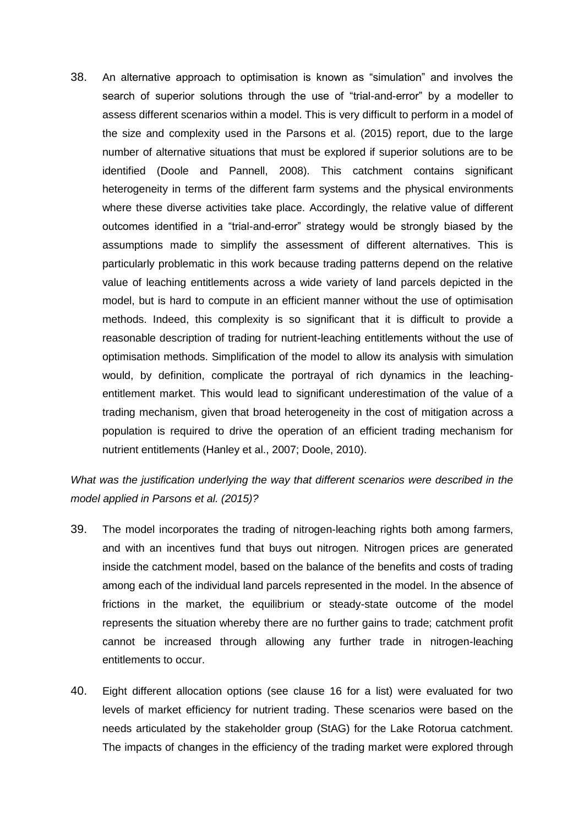38. An alternative approach to optimisation is known as "simulation" and involves the search of superior solutions through the use of "trial-and-error" by a modeller to assess different scenarios within a model. This is very difficult to perform in a model of the size and complexity used in the Parsons et al. (2015) report, due to the large number of alternative situations that must be explored if superior solutions are to be identified (Doole and Pannell, 2008). This catchment contains significant heterogeneity in terms of the different farm systems and the physical environments where these diverse activities take place. Accordingly, the relative value of different outcomes identified in a "trial-and-error" strategy would be strongly biased by the assumptions made to simplify the assessment of different alternatives. This is particularly problematic in this work because trading patterns depend on the relative value of leaching entitlements across a wide variety of land parcels depicted in the model, but is hard to compute in an efficient manner without the use of optimisation methods. Indeed, this complexity is so significant that it is difficult to provide a reasonable description of trading for nutrient-leaching entitlements without the use of optimisation methods. Simplification of the model to allow its analysis with simulation would, by definition, complicate the portrayal of rich dynamics in the leachingentitlement market. This would lead to significant underestimation of the value of a trading mechanism, given that broad heterogeneity in the cost of mitigation across a population is required to drive the operation of an efficient trading mechanism for nutrient entitlements (Hanley et al., 2007; Doole, 2010).

*What was the justification underlying the way that different scenarios were described in the model applied in Parsons et al. (2015)?*

- 39. The model incorporates the trading of nitrogen-leaching rights both among farmers, and with an incentives fund that buys out nitrogen. Nitrogen prices are generated inside the catchment model, based on the balance of the benefits and costs of trading among each of the individual land parcels represented in the model. In the absence of frictions in the market, the equilibrium or steady-state outcome of the model represents the situation whereby there are no further gains to trade; catchment profit cannot be increased through allowing any further trade in nitrogen-leaching entitlements to occur.
- 40. Eight different allocation options (see clause 16 for a list) were evaluated for two levels of market efficiency for nutrient trading. These scenarios were based on the needs articulated by the stakeholder group (StAG) for the Lake Rotorua catchment. The impacts of changes in the efficiency of the trading market were explored through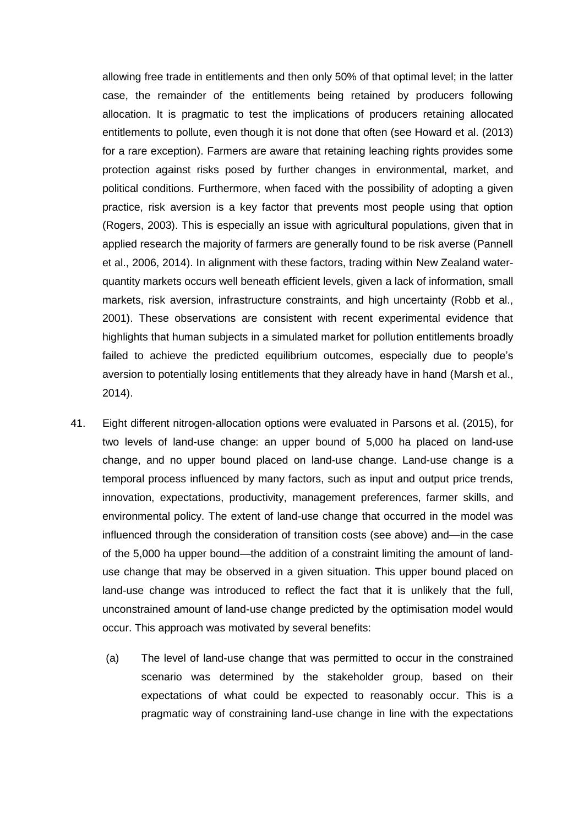allowing free trade in entitlements and then only 50% of that optimal level; in the latter case, the remainder of the entitlements being retained by producers following allocation. It is pragmatic to test the implications of producers retaining allocated entitlements to pollute, even though it is not done that often (see Howard et al. (2013) for a rare exception). Farmers are aware that retaining leaching rights provides some protection against risks posed by further changes in environmental, market, and political conditions. Furthermore, when faced with the possibility of adopting a given practice, risk aversion is a key factor that prevents most people using that option (Rogers, 2003). This is especially an issue with agricultural populations, given that in applied research the majority of farmers are generally found to be risk averse (Pannell et al., 2006, 2014). In alignment with these factors, trading within New Zealand waterquantity markets occurs well beneath efficient levels, given a lack of information, small markets, risk aversion, infrastructure constraints, and high uncertainty (Robb et al., 2001). These observations are consistent with recent experimental evidence that highlights that human subjects in a simulated market for pollution entitlements broadly failed to achieve the predicted equilibrium outcomes, especially due to people's aversion to potentially losing entitlements that they already have in hand (Marsh et al., 2014).

- 41. Eight different nitrogen-allocation options were evaluated in Parsons et al. (2015), for two levels of land-use change: an upper bound of 5,000 ha placed on land-use change, and no upper bound placed on land-use change. Land-use change is a temporal process influenced by many factors, such as input and output price trends, innovation, expectations, productivity, management preferences, farmer skills, and environmental policy. The extent of land-use change that occurred in the model was influenced through the consideration of transition costs (see above) and—in the case of the 5,000 ha upper bound—the addition of a constraint limiting the amount of landuse change that may be observed in a given situation. This upper bound placed on land-use change was introduced to reflect the fact that it is unlikely that the full, unconstrained amount of land-use change predicted by the optimisation model would occur. This approach was motivated by several benefits:
	- (a) The level of land-use change that was permitted to occur in the constrained scenario was determined by the stakeholder group, based on their expectations of what could be expected to reasonably occur. This is a pragmatic way of constraining land-use change in line with the expectations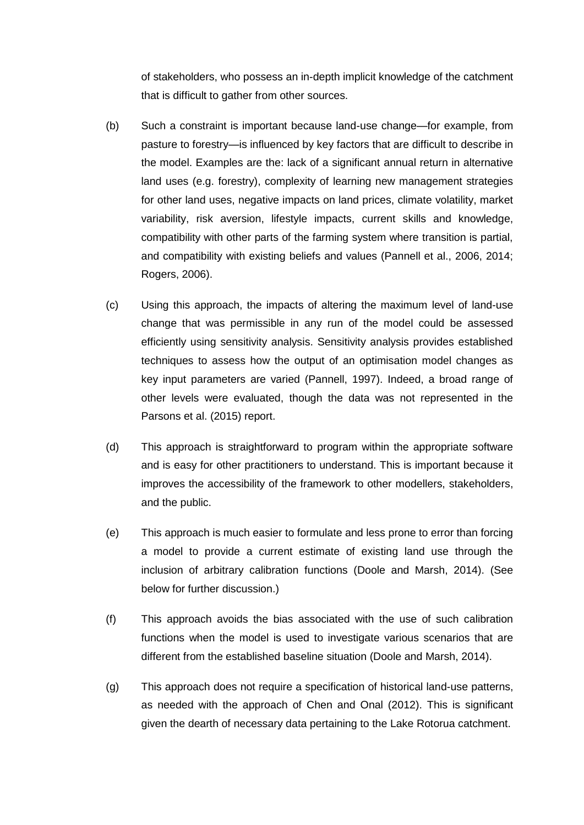of stakeholders, who possess an in-depth implicit knowledge of the catchment that is difficult to gather from other sources.

- (b) Such a constraint is important because land-use change—for example, from pasture to forestry—is influenced by key factors that are difficult to describe in the model. Examples are the: lack of a significant annual return in alternative land uses (e.g. forestry), complexity of learning new management strategies for other land uses, negative impacts on land prices, climate volatility, market variability, risk aversion, lifestyle impacts, current skills and knowledge, compatibility with other parts of the farming system where transition is partial, and compatibility with existing beliefs and values (Pannell et al., 2006, 2014; Rogers, 2006).
- (c) Using this approach, the impacts of altering the maximum level of land-use change that was permissible in any run of the model could be assessed efficiently using sensitivity analysis. Sensitivity analysis provides established techniques to assess how the output of an optimisation model changes as key input parameters are varied (Pannell, 1997). Indeed, a broad range of other levels were evaluated, though the data was not represented in the Parsons et al. (2015) report.
- (d) This approach is straightforward to program within the appropriate software and is easy for other practitioners to understand. This is important because it improves the accessibility of the framework to other modellers, stakeholders, and the public.
- (e) This approach is much easier to formulate and less prone to error than forcing a model to provide a current estimate of existing land use through the inclusion of arbitrary calibration functions (Doole and Marsh, 2014). (See below for further discussion.)
- (f) This approach avoids the bias associated with the use of such calibration functions when the model is used to investigate various scenarios that are different from the established baseline situation (Doole and Marsh, 2014).
- (g) This approach does not require a specification of historical land-use patterns, as needed with the approach of Chen and Onal (2012). This is significant given the dearth of necessary data pertaining to the Lake Rotorua catchment.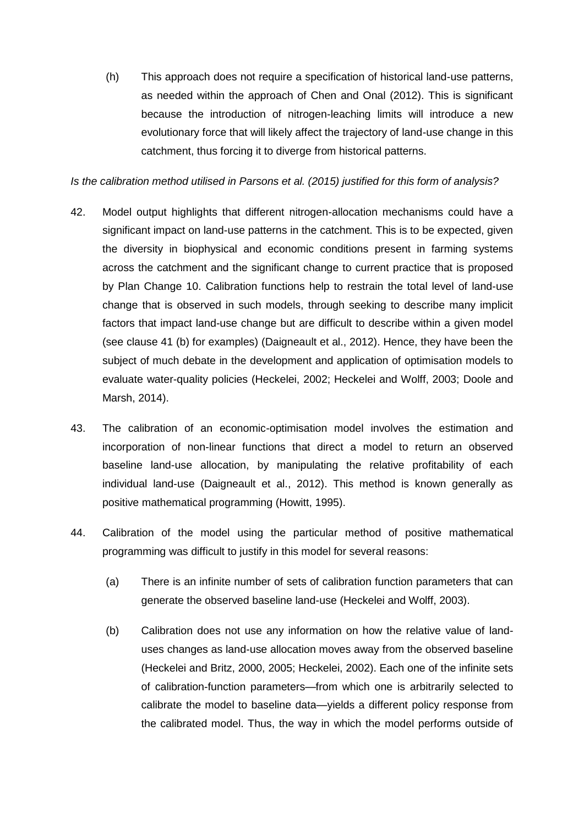(h) This approach does not require a specification of historical land-use patterns, as needed within the approach of Chen and Onal (2012). This is significant because the introduction of nitrogen-leaching limits will introduce a new evolutionary force that will likely affect the trajectory of land-use change in this catchment, thus forcing it to diverge from historical patterns.

# *Is the calibration method utilised in Parsons et al. (2015) justified for this form of analysis?*

- 42. Model output highlights that different nitrogen-allocation mechanisms could have a significant impact on land-use patterns in the catchment. This is to be expected, given the diversity in biophysical and economic conditions present in farming systems across the catchment and the significant change to current practice that is proposed by Plan Change 10. Calibration functions help to restrain the total level of land-use change that is observed in such models, through seeking to describe many implicit factors that impact land-use change but are difficult to describe within a given model (see clause 41 (b) for examples) (Daigneault et al., 2012). Hence, they have been the subject of much debate in the development and application of optimisation models to evaluate water-quality policies (Heckelei, 2002; Heckelei and Wolff, 2003; Doole and Marsh, 2014).
- 43. The calibration of an economic-optimisation model involves the estimation and incorporation of non-linear functions that direct a model to return an observed baseline land-use allocation, by manipulating the relative profitability of each individual land-use (Daigneault et al., 2012). This method is known generally as positive mathematical programming (Howitt, 1995).
- 44. Calibration of the model using the particular method of positive mathematical programming was difficult to justify in this model for several reasons:
	- (a) There is an infinite number of sets of calibration function parameters that can generate the observed baseline land-use (Heckelei and Wolff, 2003).
	- (b) Calibration does not use any information on how the relative value of landuses changes as land-use allocation moves away from the observed baseline (Heckelei and Britz, 2000, 2005; Heckelei, 2002). Each one of the infinite sets of calibration-function parameters—from which one is arbitrarily selected to calibrate the model to baseline data—yields a different policy response from the calibrated model. Thus, the way in which the model performs outside of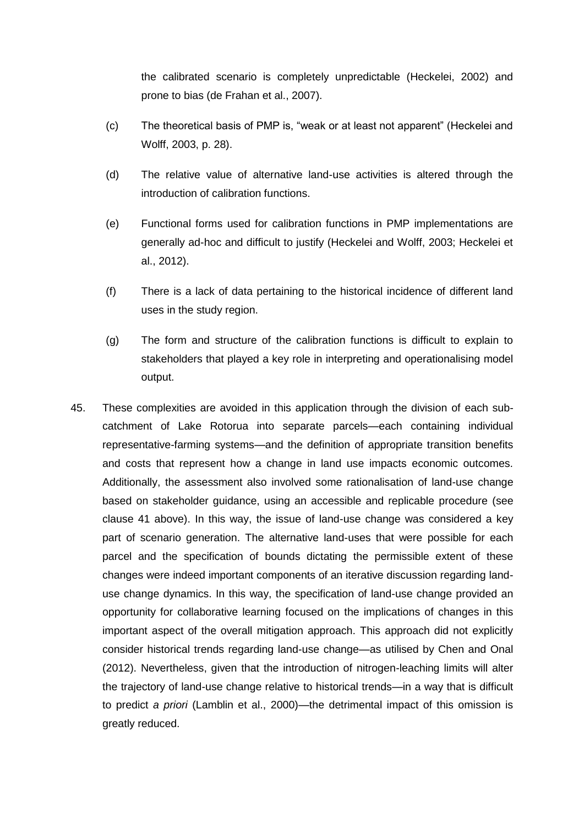the calibrated scenario is completely unpredictable (Heckelei, 2002) and prone to bias (de Frahan et al., 2007).

- (c) The theoretical basis of PMP is, "weak or at least not apparent" (Heckelei and Wolff, 2003, p. 28).
- (d) The relative value of alternative land-use activities is altered through the introduction of calibration functions.
- (e) Functional forms used for calibration functions in PMP implementations are generally ad-hoc and difficult to justify (Heckelei and Wolff, 2003; Heckelei et al., 2012).
- (f) There is a lack of data pertaining to the historical incidence of different land uses in the study region.
- (g) The form and structure of the calibration functions is difficult to explain to stakeholders that played a key role in interpreting and operationalising model output.
- 45. These complexities are avoided in this application through the division of each subcatchment of Lake Rotorua into separate parcels—each containing individual representative-farming systems—and the definition of appropriate transition benefits and costs that represent how a change in land use impacts economic outcomes. Additionally, the assessment also involved some rationalisation of land-use change based on stakeholder guidance, using an accessible and replicable procedure (see clause 41 above). In this way, the issue of land-use change was considered a key part of scenario generation. The alternative land-uses that were possible for each parcel and the specification of bounds dictating the permissible extent of these changes were indeed important components of an iterative discussion regarding landuse change dynamics. In this way, the specification of land-use change provided an opportunity for collaborative learning focused on the implications of changes in this important aspect of the overall mitigation approach. This approach did not explicitly consider historical trends regarding land-use change—as utilised by Chen and Onal (2012). Nevertheless, given that the introduction of nitrogen-leaching limits will alter the trajectory of land-use change relative to historical trends—in a way that is difficult to predict *a priori* (Lamblin et al., 2000)—the detrimental impact of this omission is greatly reduced.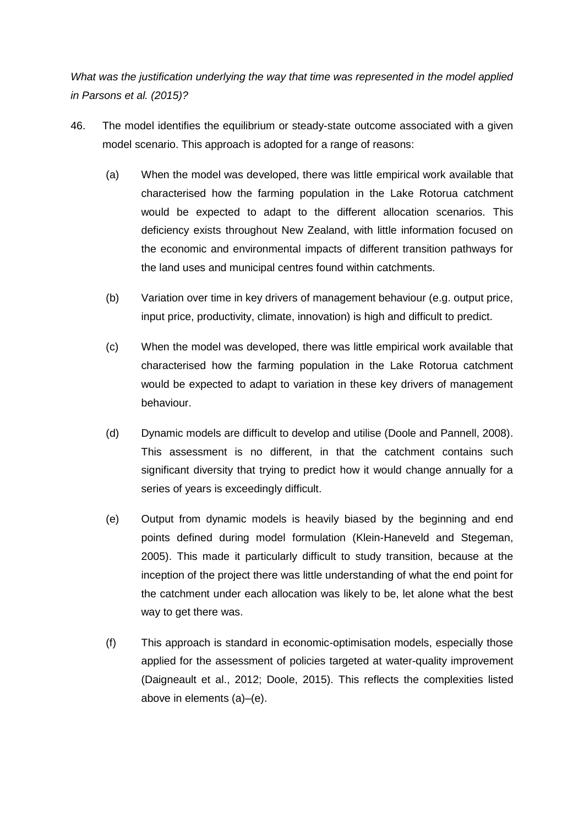*What was the justification underlying the way that time was represented in the model applied in Parsons et al. (2015)?*

- 46. The model identifies the equilibrium or steady-state outcome associated with a given model scenario. This approach is adopted for a range of reasons:
	- (a) When the model was developed, there was little empirical work available that characterised how the farming population in the Lake Rotorua catchment would be expected to adapt to the different allocation scenarios. This deficiency exists throughout New Zealand, with little information focused on the economic and environmental impacts of different transition pathways for the land uses and municipal centres found within catchments.
	- (b) Variation over time in key drivers of management behaviour (e.g. output price, input price, productivity, climate, innovation) is high and difficult to predict.
	- (c) When the model was developed, there was little empirical work available that characterised how the farming population in the Lake Rotorua catchment would be expected to adapt to variation in these key drivers of management behaviour.
	- (d) Dynamic models are difficult to develop and utilise (Doole and Pannell, 2008). This assessment is no different, in that the catchment contains such significant diversity that trying to predict how it would change annually for a series of years is exceedingly difficult.
	- (e) Output from dynamic models is heavily biased by the beginning and end points defined during model formulation (Klein-Haneveld and Stegeman, 2005). This made it particularly difficult to study transition, because at the inception of the project there was little understanding of what the end point for the catchment under each allocation was likely to be, let alone what the best way to get there was.
	- (f) This approach is standard in economic-optimisation models, especially those applied for the assessment of policies targeted at water-quality improvement (Daigneault et al., 2012; Doole, 2015). This reflects the complexities listed above in elements (a)–(e).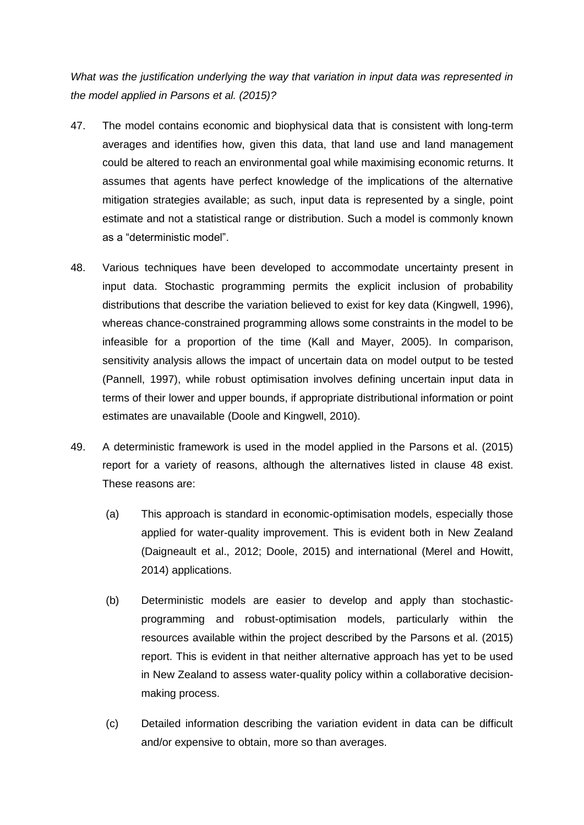*What was the justification underlying the way that variation in input data was represented in the model applied in Parsons et al. (2015)?*

- 47. The model contains economic and biophysical data that is consistent with long-term averages and identifies how, given this data, that land use and land management could be altered to reach an environmental goal while maximising economic returns. It assumes that agents have perfect knowledge of the implications of the alternative mitigation strategies available; as such, input data is represented by a single, point estimate and not a statistical range or distribution. Such a model is commonly known as a "deterministic model".
- 48. Various techniques have been developed to accommodate uncertainty present in input data. Stochastic programming permits the explicit inclusion of probability distributions that describe the variation believed to exist for key data (Kingwell, 1996), whereas chance-constrained programming allows some constraints in the model to be infeasible for a proportion of the time (Kall and Mayer, 2005). In comparison, sensitivity analysis allows the impact of uncertain data on model output to be tested (Pannell, 1997), while robust optimisation involves defining uncertain input data in terms of their lower and upper bounds, if appropriate distributional information or point estimates are unavailable (Doole and Kingwell, 2010).
- 49. A deterministic framework is used in the model applied in the Parsons et al. (2015) report for a variety of reasons, although the alternatives listed in clause 48 exist. These reasons are:
	- (a) This approach is standard in economic-optimisation models, especially those applied for water-quality improvement. This is evident both in New Zealand (Daigneault et al., 2012; Doole, 2015) and international (Merel and Howitt, 2014) applications.
	- (b) Deterministic models are easier to develop and apply than stochasticprogramming and robust-optimisation models, particularly within the resources available within the project described by the Parsons et al. (2015) report. This is evident in that neither alternative approach has yet to be used in New Zealand to assess water-quality policy within a collaborative decisionmaking process.
	- (c) Detailed information describing the variation evident in data can be difficult and/or expensive to obtain, more so than averages.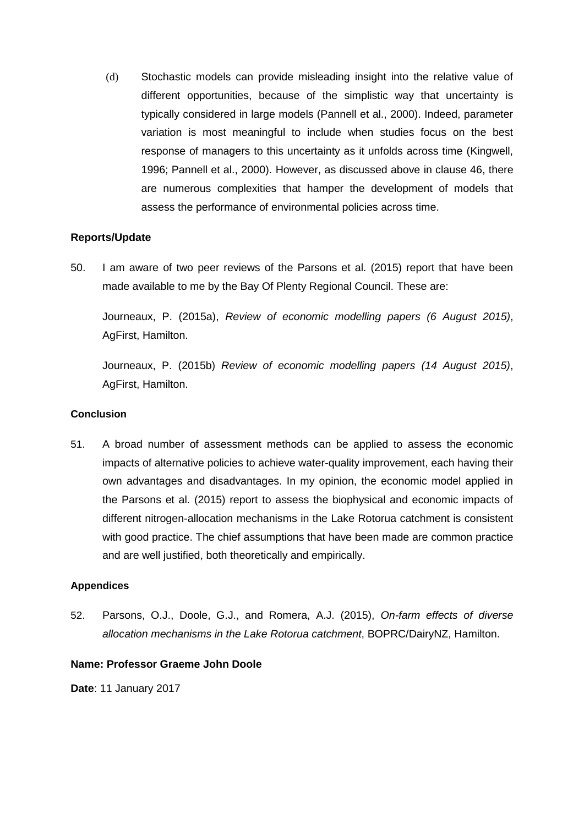(d) Stochastic models can provide misleading insight into the relative value of different opportunities, because of the simplistic way that uncertainty is typically considered in large models (Pannell et al., 2000). Indeed, parameter variation is most meaningful to include when studies focus on the best response of managers to this uncertainty as it unfolds across time (Kingwell, 1996; Pannell et al., 2000). However, as discussed above in clause 46, there are numerous complexities that hamper the development of models that assess the performance of environmental policies across time.

# **Reports/Update**

50. I am aware of two peer reviews of the Parsons et al. (2015) report that have been made available to me by the Bay Of Plenty Regional Council. These are:

Journeaux, P. (2015a), *Review of economic modelling papers (6 August 2015)*, AgFirst, Hamilton.

Journeaux, P. (2015b) *Review of economic modelling papers (14 August 2015)*, AgFirst, Hamilton.

## **Conclusion**

51. A broad number of assessment methods can be applied to assess the economic impacts of alternative policies to achieve water-quality improvement, each having their own advantages and disadvantages. In my opinion, the economic model applied in the Parsons et al. (2015) report to assess the biophysical and economic impacts of different nitrogen-allocation mechanisms in the Lake Rotorua catchment is consistent with good practice. The chief assumptions that have been made are common practice and are well justified, both theoretically and empirically.

# **Appendices**

52. Parsons, O.J., Doole, G.J., and Romera, A.J. (2015), *On-farm effects of diverse allocation mechanisms in the Lake Rotorua catchment*, BOPRC/DairyNZ, Hamilton.

# **Name: Professor Graeme John Doole**

**Date**: 11 January 2017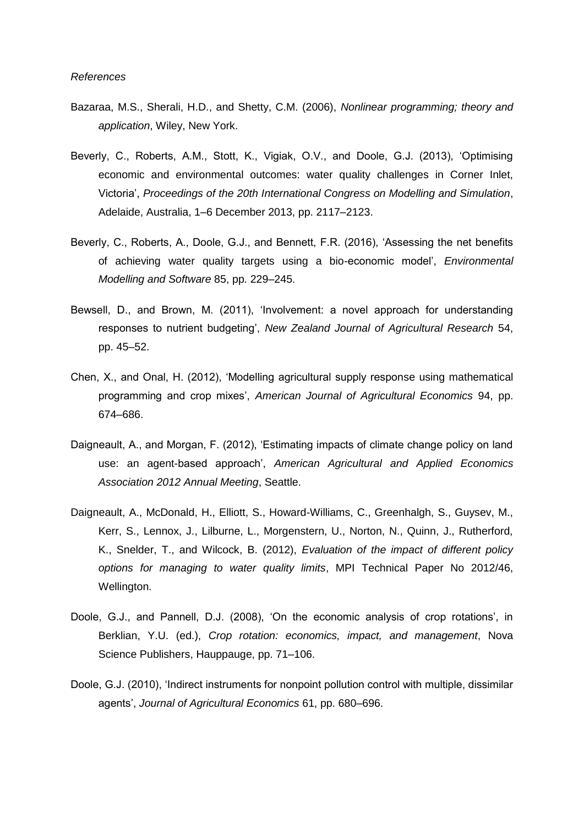- Bazaraa, M.S., Sherali, H.D., and Shetty, C.M. (2006), *Nonlinear programming; theory and application*, Wiley, New York.
- Beverly, C., Roberts, A.M., Stott, K., Vigiak, O.V., and Doole, G.J. (2013), 'Optimising economic and environmental outcomes: water quality challenges in Corner Inlet, Victoria', *Proceedings of the 20th International Congress on Modelling and Simulation*, Adelaide, Australia, 1–6 December 2013, pp. 2117–2123.
- Beverly, C., Roberts, A., Doole, G.J., and Bennett, F.R. (2016), 'Assessing the net benefits of achieving water quality targets using a bio-economic model', *Environmental Modelling and Software* 85, pp. 229–245.
- Bewsell, D., and Brown, M. (2011), 'Involvement: a novel approach for understanding responses to nutrient budgeting', *New Zealand Journal of Agricultural Research* 54, pp. 45–52.
- Chen, X., and Onal, H. (2012), 'Modelling agricultural supply response using mathematical programming and crop mixes', *American Journal of Agricultural Economics* 94, pp. 674–686.
- Daigneault, A., and Morgan, F. (2012), 'Estimating impacts of climate change policy on land use: an agent-based approach', *American Agricultural and Applied Economics Association 2012 Annual Meeting*, Seattle.
- Daigneault, A., McDonald, H., Elliott, S., Howard-Williams, C., Greenhalgh, S., Guysev, M., Kerr, S., Lennox, J., Lilburne, L., Morgenstern, U., Norton, N., Quinn, J., Rutherford, K., Snelder, T., and Wilcock, B. (2012), *Evaluation of the impact of different policy options for managing to water quality limits*, MPI Technical Paper No 2012/46, Wellington.
- Doole, G.J., and Pannell, D.J. (2008), 'On the economic analysis of crop rotations', in Berklian, Y.U. (ed.), *Crop rotation: economics, impact, and management*, Nova Science Publishers, Hauppauge, pp. 71–106.
- Doole, G.J. (2010), 'Indirect instruments for nonpoint pollution control with multiple, dissimilar agents', *Journal of Agricultural Economics* 61, pp. 680–696.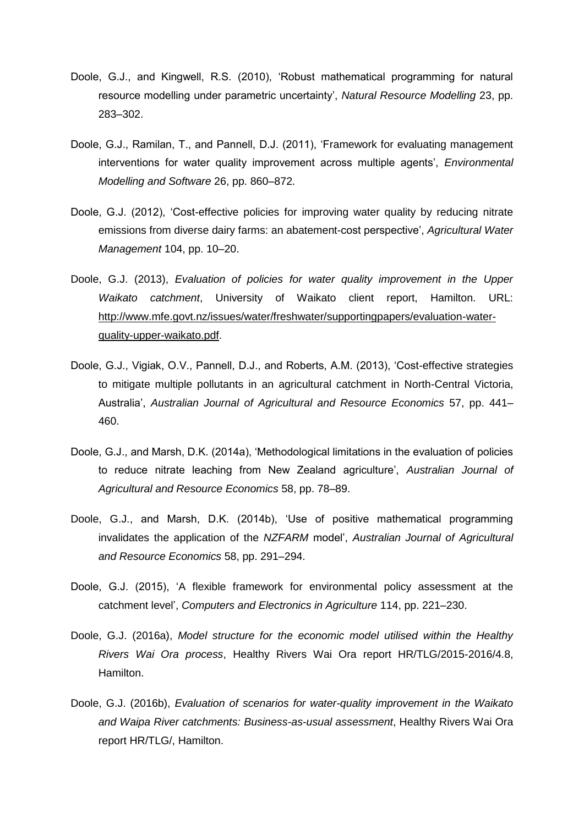- Doole, G.J., and Kingwell, R.S. (2010), 'Robust mathematical programming for natural resource modelling under parametric uncertainty', *Natural Resource Modelling* 23, pp. 283–302.
- Doole, G.J., Ramilan, T., and Pannell, D.J. (2011), 'Framework for evaluating management interventions for water quality improvement across multiple agents', *Environmental Modelling and Software* 26, pp. 860–872.
- Doole, G.J. (2012), 'Cost-effective policies for improving water quality by reducing nitrate emissions from diverse dairy farms: an abatement-cost perspective', *Agricultural Water Management* 104, pp. 10–20.
- Doole, G.J. (2013), *Evaluation of policies for water quality improvement in the Upper Waikato catchment*, University of Waikato client report, Hamilton. URL: [http://www.mfe.govt.nz/issues/water/freshwater/supportingpapers/evaluation-water](http://www.mfe.govt.nz/issues/water/freshwater/supportingpapers/evaluation-water-quality-upper-waikato.pdf)[quality-upper-waikato.pdf.](http://www.mfe.govt.nz/issues/water/freshwater/supportingpapers/evaluation-water-quality-upper-waikato.pdf)
- Doole, G.J., Vigiak, O.V., Pannell, D.J., and Roberts, A.M. (2013), 'Cost-effective strategies to mitigate multiple pollutants in an agricultural catchment in North-Central Victoria, Australia', *Australian Journal of Agricultural and Resource Economics* 57, pp. 441– 460.
- Doole, G.J., and Marsh, D.K. (2014a), 'Methodological limitations in the evaluation of policies to reduce nitrate leaching from New Zealand agriculture', *Australian Journal of Agricultural and Resource Economics* 58, pp. 78–89.
- Doole, G.J., and Marsh, D.K. (2014b), 'Use of positive mathematical programming invalidates the application of the *NZFARM* model', *Australian Journal of Agricultural and Resource Economics* 58, pp. 291–294.
- Doole, G.J. (2015), 'A flexible framework for environmental policy assessment at the catchment level', *Computers and Electronics in Agriculture* 114, pp. 221–230.
- Doole, G.J. (2016a), *Model structure for the economic model utilised within the Healthy Rivers Wai Ora process*, Healthy Rivers Wai Ora report HR/TLG/2015-2016/4.8, Hamilton.
- Doole, G.J. (2016b), *Evaluation of scenarios for water-quality improvement in the Waikato and Waipa River catchments: Business-as-usual assessment*, Healthy Rivers Wai Ora report HR/TLG/, Hamilton.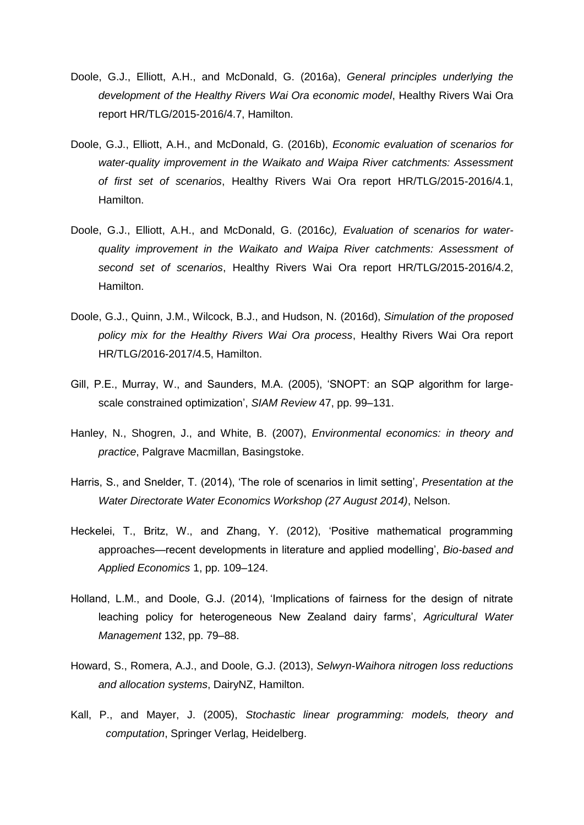- Doole, G.J., Elliott, A.H., and McDonald, G. (2016a), *General principles underlying the development of the Healthy Rivers Wai Ora economic model*, Healthy Rivers Wai Ora report HR/TLG/2015-2016/4.7, Hamilton.
- Doole, G.J., Elliott, A.H., and McDonald, G. (2016b), *Economic evaluation of scenarios for water-quality improvement in the Waikato and Waipa River catchments: Assessment of first set of scenarios*, Healthy Rivers Wai Ora report HR/TLG/2015-2016/4.1, Hamilton.
- Doole, G.J., Elliott, A.H., and McDonald, G. (2016c*), Evaluation of scenarios for waterquality improvement in the Waikato and Waipa River catchments: Assessment of second set of scenarios*, Healthy Rivers Wai Ora report HR/TLG/2015-2016/4.2, Hamilton.
- Doole, G.J., Quinn, J.M., Wilcock, B.J., and Hudson, N. (2016d), *Simulation of the proposed policy mix for the Healthy Rivers Wai Ora process*, Healthy Rivers Wai Ora report HR/TLG/2016-2017/4.5, Hamilton.
- Gill, P.E., Murray, W., and Saunders, M.A. (2005), 'SNOPT: an SQP algorithm for largescale constrained optimization', *SIAM Review* 47, pp. 99–131.
- Hanley, N., Shogren, J., and White, B. (2007), *Environmental economics: in theory and practice*, Palgrave Macmillan, Basingstoke.
- Harris, S., and Snelder, T. (2014), 'The role of scenarios in limit setting', *Presentation at the Water Directorate Water Economics Workshop (27 August 2014)*, Nelson.
- Heckelei, T., Britz, W., and Zhang, Y. (2012), 'Positive mathematical programming approaches—recent developments in literature and applied modelling', *Bio-based and Applied Economics* 1, pp. 109–124.
- Holland, L.M., and Doole, G.J. (2014), 'Implications of fairness for the design of nitrate leaching policy for heterogeneous New Zealand dairy farms', *Agricultural Water Management* 132, pp. 79–88.
- Howard, S., Romera, A.J., and Doole, G.J. (2013), *Selwyn-Waihora nitrogen loss reductions and allocation systems*, DairyNZ, Hamilton.
- Kall, P., and Mayer, J. (2005), *Stochastic linear programming: models, theory and computation*, Springer Verlag, Heidelberg.